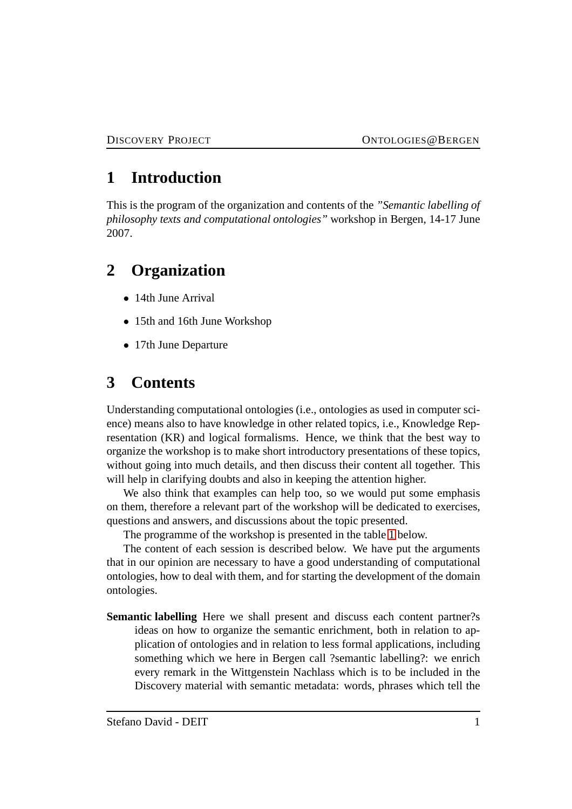## **1 Introduction**

This is the program of the organization and contents of the *"Semantic labelling of philosophy texts and computational ontologies"* workshop in Bergen, 14-17 June 2007.

## **2 Organization**

- 14th June Arrival
- 15th and 16th June Workshop
- 17th June Departure

## **3 Contents**

Understanding computational ontologies (i.e., ontologies as used in computer science) means also to have knowledge in other related topics, i.e., Knowledge Representation (KR) and logical formalisms. Hence, we think that the best way to organize the workshop is to make short introductory presentations of these topics, without going into much details, and then discuss their content all together. This will help in clarifying doubts and also in keeping the attention higher.

We also think that examples can help too, so we would put some emphasis on them, therefore a relevant part of the workshop will be dedicated to exercises, questions and answers, and discussions about the topic presented.

The programme of the workshop is presented in the table [1](#page-1-0) below.

The content of each session is described below. We have put the arguments that in our opinion are necessary to have a good understanding of computational ontologies, how to deal with them, and for starting the development of the domain ontologies.

**Semantic labelling** Here we shall present and discuss each content partner?s ideas on how to organize the semantic enrichment, both in relation to application of ontologies and in relation to less formal applications, including something which we here in Bergen call ?semantic labelling?: we enrich every remark in the Wittgenstein Nachlass which is to be included in the Discovery material with semantic metadata: words, phrases which tell the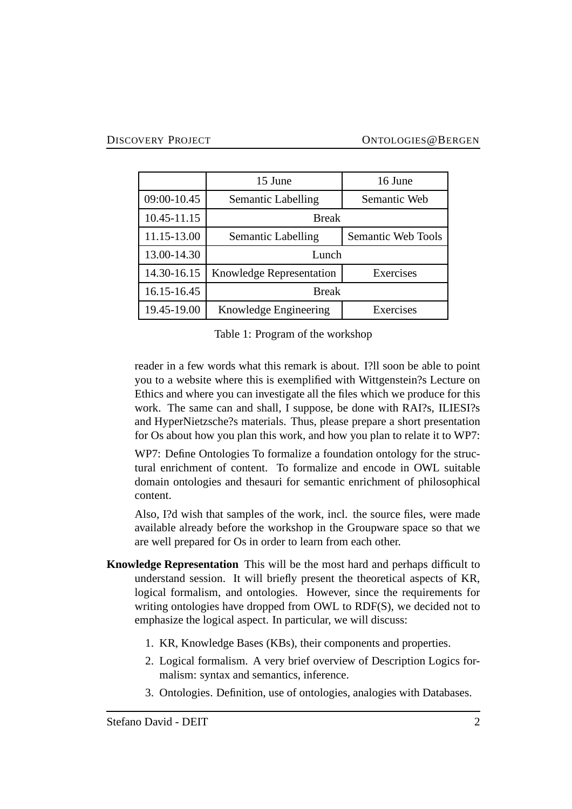|             | 15 June                         | 16 June            |
|-------------|---------------------------------|--------------------|
| 09:00-10.45 | Semantic Labelling              | Semantic Web       |
| 10.45-11.15 | <b>Break</b>                    |                    |
| 11.15-13.00 | Semantic Labelling              | Semantic Web Tools |
| 13.00-14.30 | Lunch                           |                    |
| 14.30-16.15 | <b>Knowledge Representation</b> | Exercises          |
| 16.15-16.45 | <b>Break</b>                    |                    |
| 19.45-19.00 | Knowledge Engineering           | Exercises          |

<span id="page-1-0"></span>Table 1: Program of the workshop

reader in a few words what this remark is about. I?ll soon be able to point you to a website where this is exemplified with Wittgenstein?s Lecture on Ethics and where you can investigate all the files which we produce for this work. The same can and shall, I suppose, be done with RAI?s, ILIESI?s and HyperNietzsche?s materials. Thus, please prepare a short presentation for Os about how you plan this work, and how you plan to relate it to WP7:

WP7: Define Ontologies To formalize a foundation ontology for the structural enrichment of content. To formalize and encode in OWL suitable domain ontologies and thesauri for semantic enrichment of philosophical content.

Also, I?d wish that samples of the work, incl. the source files, were made available already before the workshop in the Groupware space so that we are well prepared for Os in order to learn from each other.

- **Knowledge Representation** This will be the most hard and perhaps difficult to understand session. It will briefly present the theoretical aspects of KR, logical formalism, and ontologies. However, since the requirements for writing ontologies have dropped from OWL to RDF(S), we decided not to emphasize the logical aspect. In particular, we will discuss:
	- 1. KR, Knowledge Bases (KBs), their components and properties.
	- 2. Logical formalism. A very brief overview of Description Logics formalism: syntax and semantics, inference.
	- 3. Ontologies. Definition, use of ontologies, analogies with Databases.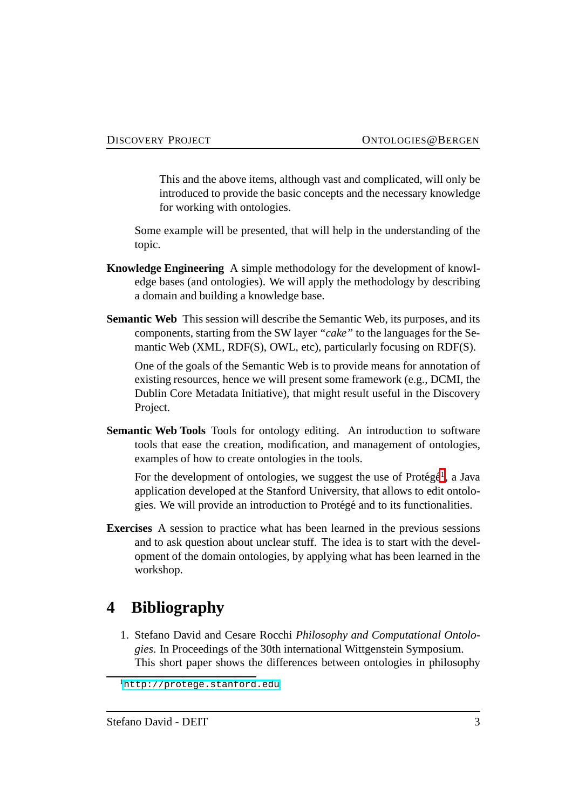This and the above items, although vast and complicated, will only be introduced to provide the basic concepts and the necessary knowledge for working with ontologies.

Some example will be presented, that will help in the understanding of the topic.

- **Knowledge Engineering** A simple methodology for the development of knowledge bases (and ontologies). We will apply the methodology by describing a domain and building a knowledge base.
- **Semantic Web** This session will describe the Semantic Web, its purposes, and its components, starting from the SW layer *"cake"* to the languages for the Semantic Web (XML, RDF(S), OWL, etc), particularly focusing on RDF(S).

One of the goals of the Semantic Web is to provide means for annotation of existing resources, hence we will present some framework (e.g., DCMI, the Dublin Core Metadata Initiative), that might result useful in the Discovery Project.

**Semantic Web Tools** Tools for ontology editing. An introduction to software tools that ease the creation, modification, and management of ontologies, examples of how to create ontologies in the tools.

For the development of ontologies, we suggest the use of Protégé<sup>[1](#page-2-0)</sup>, a Java application developed at the Stanford University, that allows to edit ontologies. We will provide an introduction to Protégé and to its functionalities.

**Exercises** A session to practice what has been learned in the previous sessions and to ask question about unclear stuff. The idea is to start with the development of the domain ontologies, by applying what has been learned in the workshop.

## **4 Bibliography**

1. Stefano David and Cesare Rocchi *Philosophy and Computational Ontologies*. In Proceedings of the 30th international Wittgenstein Symposium. This short paper shows the differences between ontologies in philosophy

<span id="page-2-0"></span><sup>1</sup><http://protege.stanford.edu>